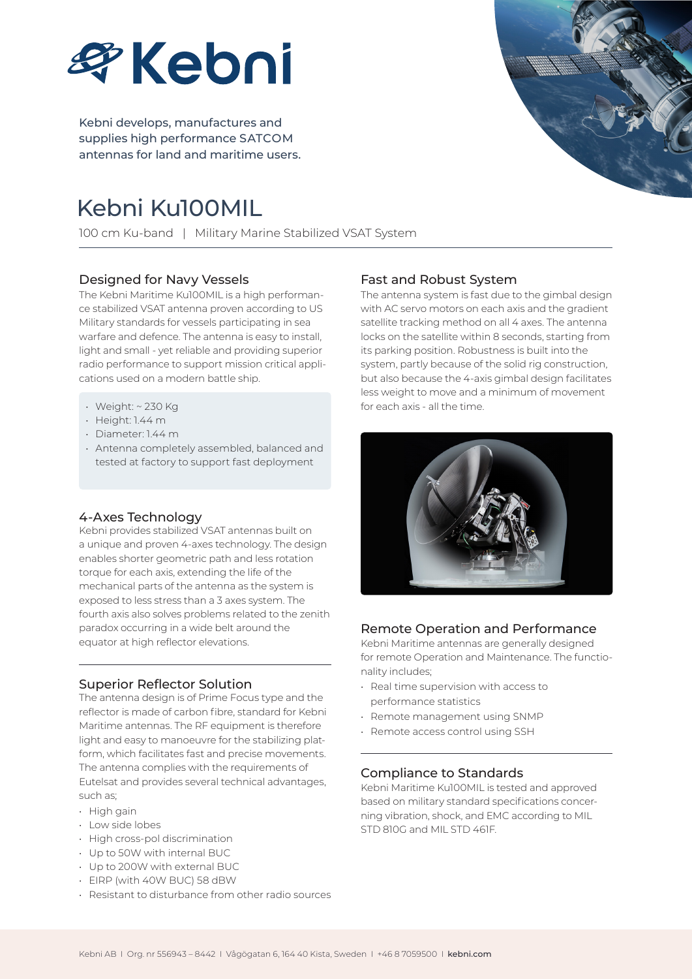

Kebni develops, manufactures and supplies high performance SATCOM antennas for land and maritime users.

# Kebni Ku100MIL

100 cm Ku-band | Military Marine Stabilized VSAT System

## Designed for Navy Vessels

The Kebni Maritime Ku100MIL is a high performance stabilized VSAT antenna proven according to US Military standards for vessels participating in sea warfare and defence. The antenna is easy to install, light and small - yet reliable and providing superior radio performance to support mission critical applications used on a modern battle ship.

- Weight: ~ 230 Kg
- Height: 1.44 m
- Diameter: 1.44 m
- Antenna completely assembled, balanced and tested at factory to support fast deployment

## 4-Axes Technology

Kebni provides stabilized VSAT antennas built on a unique and proven 4-axes technology. The design enables shorter geometric path and less rotation torque for each axis, extending the life of the mechanical parts of the antenna as the system is exposed to less stress than a 3 axes system. The fourth axis also solves problems related to the zenith paradox occurring in a wide belt around the equator at high reflector elevations.

## Superior Reflector Solution

The antenna design is of Prime Focus type and the reflector is made of carbon fibre, standard for Kebni Maritime antennas. The RF equipment is therefore light and easy to manoeuvre for the stabilizing platform, which facilitates fast and precise movements. The antenna complies with the requirements of Eutelsat and provides several technical advantages, such as;

- $\cdot$  High gain
- Low side lobes
- High cross-pol discrimination
- Up to 50W with internal BUC
- Up to 200W with external BUC
- EIRP (with 40W BUC) 58 dBW
- Resistant to disturbance from other radio sources

## Fast and Robust System

The antenna system is fast due to the gimbal design with AC servo motors on each axis and the gradient satellite tracking method on all 4 axes. The antenna locks on the satellite within 8 seconds, starting from its parking position. Robustness is built into the system, partly because of the solid rig construction, but also because the 4-axis gimbal design facilitates less weight to move and a minimum of movement for each axis - all the time.



## Remote Operation and Performance

Kebni Maritime antennas are generally designed for remote Operation and Maintenance. The functionality includes;

- Real time supervision with access to performance statistics
- Remote management using SNMP
- Remote access control using SSH

## Compliance to Standards

Kebni Maritime Ku100MIL is tested and approved based on military standard specifications concerning vibration, shock, and EMC according to MIL STD 810G and MIL STD 461F.